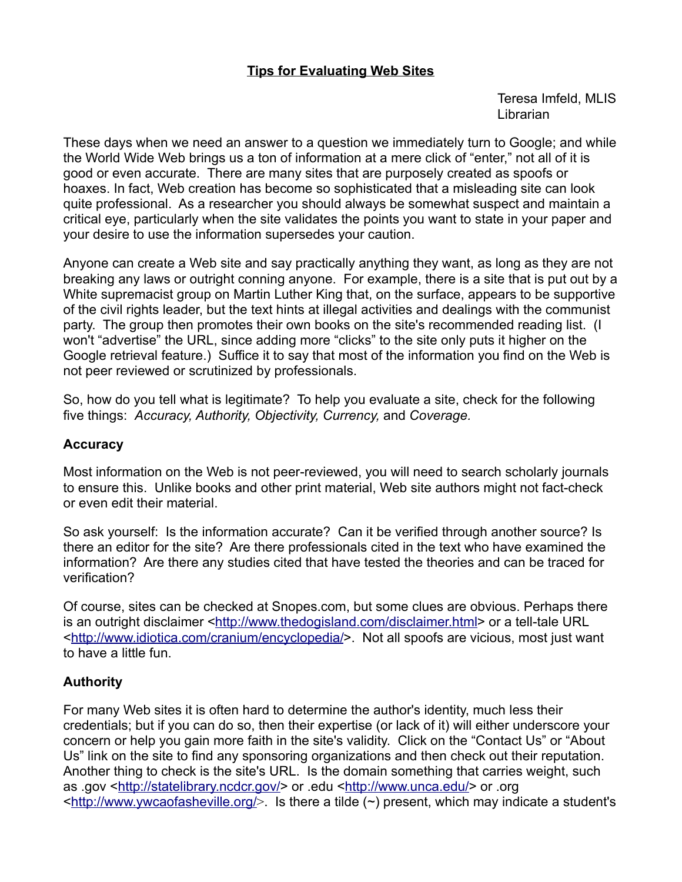## **Tips for Evaluating Web Sites**

Teresa Imfeld, MLIS Librarian

These days when we need an answer to a question we immediately turn to Google; and while the World Wide Web brings us a ton of information at a mere click of "enter," not all of it is good or even accurate. There are many sites that are purposely created as spoofs or hoaxes. In fact, Web creation has become so sophisticated that a misleading site can look quite professional. As a researcher you should always be somewhat suspect and maintain a critical eye, particularly when the site validates the points you want to state in your paper and your desire to use the information supersedes your caution.

Anyone can create a Web site and say practically anything they want, as long as they are not breaking any laws or outright conning anyone. For example, there is a site that is put out by a White supremacist group on Martin Luther King that, on the surface, appears to be supportive of the civil rights leader, but the text hints at illegal activities and dealings with the communist party. The group then promotes their own books on the site's recommended reading list. (I won't "advertise" the URL, since adding more "clicks" to the site only puts it higher on the Google retrieval feature.) Suffice it to say that most of the information you find on the Web is not peer reviewed or scrutinized by professionals.

So, how do you tell what is legitimate? To help you evaluate a site, check for the following five things: *Accuracy, Authority, Objectivity, Currency,* and *Coverage.* 

### **Accuracy**

Most information on the Web is not peer-reviewed, you will need to search scholarly journals to ensure this. Unlike books and other print material, Web site authors might not fact-check or even edit their material.

So ask yourself: Is the information accurate? Can it be verified through another source? Is there an editor for the site? Are there professionals cited in the text who have examined the information? Are there any studies cited that have tested the theories and can be traced for verification?

Of course, sites can be checked at Snopes.com, but some clues are obvious. Perhaps there is an outright disclaimer [<http://www.thedogisland.com/disclaimer.html>](http://www.thedogisland.com/disclaimer.html) or a tell-tale URL [<http://www.idiotica.com/cranium/encyclopedia/>](http://www.idiotica.com/cranium/encyclopedia/). Not all spoofs are vicious, most just want to have a little fun.

## **Authority**

For many Web sites it is often hard to determine the author's identity, much less their credentials; but if you can do so, then their expertise (or lack of it) will either underscore your concern or help you gain more faith in the site's validity. Click on the "Contact Us" or "About Us" link on the site to find any sponsoring organizations and then check out their reputation. Another thing to check is the site's URL. Is the domain something that carries weight, such as .gov [<http://statelibrary.ncdcr.gov/>](http://statelibrary.ncdcr.gov/) or .edu [<http://www.unca.edu/>](http://www.unca.edu/) or .org  $\frac{\text{http://www.ywcaofasheville.org/}}{\text{http://www.ywcaofasheville.org/}}$ . Is there a tilde (~) present, which may indicate a student's